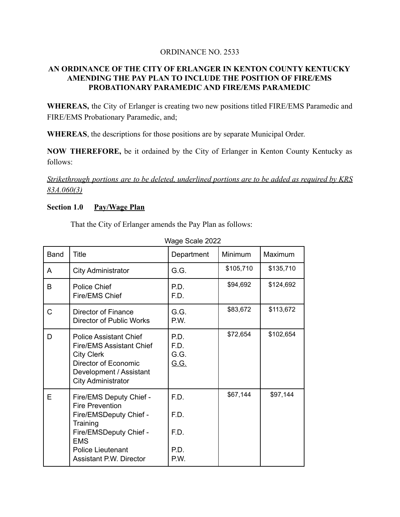## ORDINANCE NO. 2533

# **AN ORDINANCE OF THE CITY OF ERLANGER IN KENTON COUNTY KENTUCKY AMENDING THE PAY PLAN TO INCLUDE THE POSITION OF FIRE/EMS PROBATIONARY PARAMEDIC AND FIRE/EMS PARAMEDIC**

**WHEREAS,** the City of Erlanger is creating two new positions titled FIRE/EMS Paramedic and FIRE/EMS Probationary Paramedic, and;

**WHEREAS**, the descriptions for those positions are by separate Municipal Order.

**NOW THEREFORE,** be it ordained by the City of Erlanger in Kenton County Kentucky as follows:

*Strikethrough portions are to be deleted, underlined portions are to be added as required by KRS 83A.060(3)*

#### **Section 1.0 Pay/Wage Plan**

That the City of Erlanger amends the Pay Plan as follows:

|      | wayu uuaiu 2022                                                                                                                                                       |                                     |           |           |  |  |
|------|-----------------------------------------------------------------------------------------------------------------------------------------------------------------------|-------------------------------------|-----------|-----------|--|--|
| Band | <b>Title</b>                                                                                                                                                          | Department                          | Minimum   | Maximum   |  |  |
| A    | <b>City Administrator</b>                                                                                                                                             | G.G.                                | \$105,710 | \$135,710 |  |  |
| B    | <b>Police Chief</b><br>Fire/EMS Chief                                                                                                                                 | P.D.<br>F.D.                        | \$94,692  | \$124,692 |  |  |
| C    | Director of Finance<br><b>Director of Public Works</b>                                                                                                                | G.G.<br>P.W.                        | \$83,672  | \$113,672 |  |  |
| D    | <b>Police Assistant Chief</b><br><b>Fire/EMS Assistant Chief</b><br><b>City Clerk</b><br>Director of Economic<br>Development / Assistant<br><b>City Administrator</b> | P.D.<br>F.D.<br>G.G.<br><u>G.G.</u> | \$72,654  | \$102,654 |  |  |
| E    | Fire/EMS Deputy Chief -<br><b>Fire Prevention</b><br>Fire/EMSDeputy Chief -                                                                                           | F.D.<br>F.D.                        | \$67,144  | \$97,144  |  |  |
|      | Training<br>Fire/EMSDeputy Chief -<br><b>EMS</b>                                                                                                                      | F.D.                                |           |           |  |  |
|      | <b>Police Lieutenant</b><br>Assistant P.W. Director                                                                                                                   | P.D.<br>P.W.                        |           |           |  |  |

Wage Scale 2022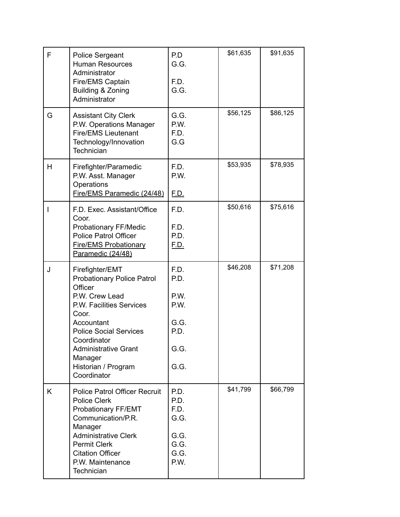| F | <b>Police Sergeant</b><br><b>Human Resources</b><br>Administrator<br>Fire/EMS Captain<br>Building & Zoning<br>Administrator                                                                                                                                          | P.D<br>G.G.<br>F.D.<br>G.G.                                  | \$61,635 | \$91,635 |
|---|----------------------------------------------------------------------------------------------------------------------------------------------------------------------------------------------------------------------------------------------------------------------|--------------------------------------------------------------|----------|----------|
| G | <b>Assistant City Clerk</b><br>P.W. Operations Manager<br><b>Fire/EMS Lieutenant</b><br>Technology/Innovation<br>Technician                                                                                                                                          | G.G.<br>P.W.<br>F.D.<br>G.G                                  | \$56,125 | \$86,125 |
| н | Firefighter/Paramedic<br>P.W. Asst. Manager<br>Operations<br>Fire/EMS Paramedic (24/48)                                                                                                                                                                              | F.D.<br>P.W.<br><u>F.D.</u>                                  | \$53,935 | \$78,935 |
|   | F.D. Exec. Assistant/Office<br>Coor.<br>Probationary FF/Medic<br><b>Police Patrol Officer</b><br><b>Fire/EMS Probationary</b><br>Paramedic (24/48)                                                                                                                   | F.D.<br>F.D.<br>P.D.<br><u>F.D.</u>                          | \$50,616 | \$75,616 |
| J | Firefighter/EMT<br><b>Probationary Police Patrol</b><br>Officer<br>P.W. Crew Lead<br>P.W. Facilities Services<br>Coor.<br>Accountant<br><b>Police Social Services</b><br>Coordinator<br><b>Administrative Grant</b><br>Manager<br>Historian / Program<br>Coordinator | F.D.<br>P.D.<br>P.W.<br>P.W.<br>G.G.<br>P.D.<br>G.G.<br>G.G. | \$46,208 | \$71,208 |
| K | <b>Police Patrol Officer Recruit</b><br><b>Police Clerk</b><br>Probationary FF/EMT<br>Communication/P.R.<br>Manager<br><b>Administrative Clerk</b><br><b>Permit Clerk</b><br><b>Citation Officer</b><br>P.W. Maintenance<br>Technician                               | P.D.<br>P.D.<br>F.D.<br>G.G.<br>G.G.<br>G.G.<br>G.G.<br>P.W. | \$41,799 | \$66,799 |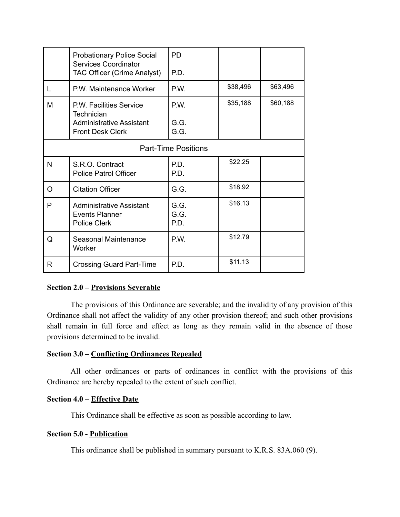|                            | <b>Probationary Police Social</b><br>Services Coordinator                       | <b>PD</b>            |          |          |  |  |
|----------------------------|---------------------------------------------------------------------------------|----------------------|----------|----------|--|--|
|                            | <b>TAC Officer (Crime Analyst)</b>                                              | P.D.                 |          |          |  |  |
|                            | P.W. Maintenance Worker                                                         | P.W.                 | \$38,496 | \$63,496 |  |  |
| M                          | P.W. Facilities Service<br>Technician                                           | P.W.                 | \$35,188 | \$60,188 |  |  |
|                            | Administrative Assistant<br><b>Front Desk Clerk</b>                             | G.G.<br>G.G.         |          |          |  |  |
| <b>Part-Time Positions</b> |                                                                                 |                      |          |          |  |  |
| N                          | S.R.O. Contract<br><b>Police Patrol Officer</b>                                 | P.D.<br>P.D.         | \$22.25  |          |  |  |
| $\Omega$                   | <b>Citation Officer</b>                                                         | G.G.                 | \$18.92  |          |  |  |
| P                          | <b>Administrative Assistant</b><br><b>Events Planner</b><br><b>Police Clerk</b> | G.G.<br>G.G.<br>P.D. | \$16.13  |          |  |  |
| Q                          | Seasonal Maintenance<br>Worker                                                  | P.W.                 | \$12.79  |          |  |  |
| R                          | <b>Crossing Guard Part-Time</b>                                                 | P.D.                 | \$11.13  |          |  |  |

#### **Section 2.0 ‒ Provisions Severable**

The provisions of this Ordinance are severable; and the invalidity of any provision of this Ordinance shall not affect the validity of any other provision thereof; and such other provisions shall remain in full force and effect as long as they remain valid in the absence of those provisions determined to be invalid.

#### **Section 3.0 – Conflicting Ordinances Repealed**

All other ordinances or parts of ordinances in conflict with the provisions of this Ordinance are hereby repealed to the extent of such conflict.

## **Section 4.0 – Effective Date**

This Ordinance shall be effective as soon as possible according to law.

#### **Section 5.0 - Publication**

This ordinance shall be published in summary pursuant to K.R.S. 83A.060 (9).